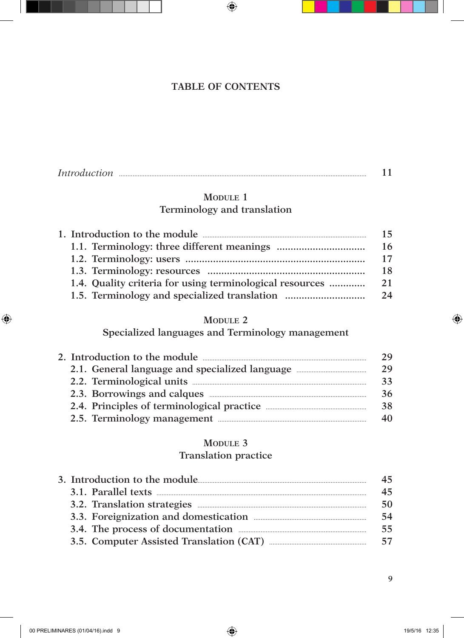### **TABLE OF CONTENTS**

## **Module 1**

## **Terminology and translation**

| 1. Introduction to the module <b><i>measurement</i>ion <i>measurement</i>ion <i>measurement</i>ion <i>measurement</i>ion <b><i>measurement</i>ion <i>measurement</i>ion <b><i>measurement</i>ion <i>measurement</i>ion <b><i>measurement</i>ion <i>measurement</i>ion <i>mea</i></b></b></b></b> | 15 |
|--------------------------------------------------------------------------------------------------------------------------------------------------------------------------------------------------------------------------------------------------------------------------------------------------|----|
|                                                                                                                                                                                                                                                                                                  | 16 |
|                                                                                                                                                                                                                                                                                                  | 17 |
|                                                                                                                                                                                                                                                                                                  | 18 |
| 1.4. Quality criteria for using terminological resources                                                                                                                                                                                                                                         | 21 |
|                                                                                                                                                                                                                                                                                                  | 24 |

### **Module 2**

## **Specialized languages and Terminology management**

|                                                                                                                                     | 29 |
|-------------------------------------------------------------------------------------------------------------------------------------|----|
|                                                                                                                                     | 29 |
| 2.2. Terminological units <b>Constanting Community</b> and Terminological units <b>Community Community</b> and Terminological units | 33 |
| 2.3. Borrowings and calques <b>Election</b> 2.3. Borrowings and calques <b>Election</b> 2.3.                                        | 36 |
| 2.4. Principles of terminological practice <b>manufactures Principles</b> of terminological practice                                | 38 |
|                                                                                                                                     | 40 |

# **Module 3**

## **Translation practice**

|                                                                        | 45 |
|------------------------------------------------------------------------|----|
|                                                                        | 45 |
| 3.2. Translation strategies <b>Exercise Service Service Strategies</b> | 50 |
|                                                                        | 54 |
|                                                                        | 55 |
|                                                                        | 57 |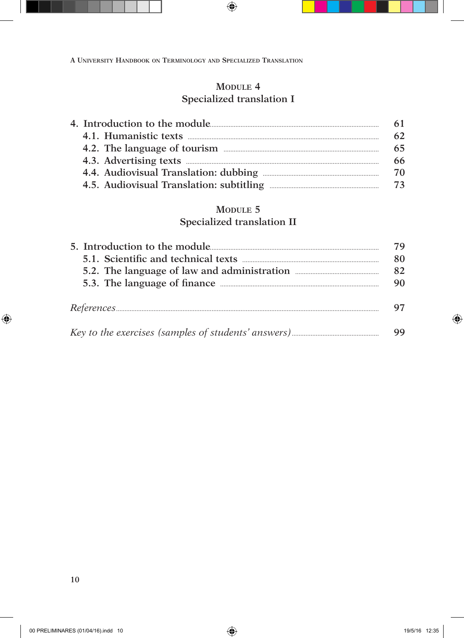## **Module 4 Specialized translation I**

|  | 65 |
|--|----|
|  | 66 |
|  | 70 |
|  | 73 |

### **Module 5 Specialized translation II**

| 79 |
|----|
| 80 |
| 82 |
| 90 |
| 97 |
| 99 |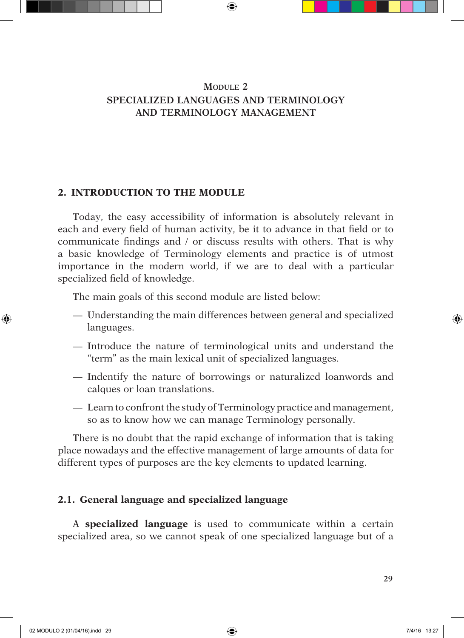### **Module 2 SPECIALIZED LANGUAGES AND TERMINOLOGY AND TERMINOLOGY MANAGEMENT**

#### **2. INTRODUCTION TO THE MODULE**

Today, the easy accessibility of information is absolutely relevant in each and every field of human activity, be it to advance in that field or to communicate findings and / or discuss results with others. That is why a basic knowledge of Terminology elements and practice is of utmost importance in the modern world, if we are to deal with a particular specialized field of knowledge.

The main goals of this second module are listed below:

- Understanding the main differences between general and specialized languages.
- Introduce the nature of terminological units and understand the "term" as the main lexical unit of specialized languages.
- Indentify the nature of borrowings or naturalized loanwords and calques or loan translations.
- Learn to confront the study of Terminology practice and management, so as to know how we can manage Terminology personally.

There is no doubt that the rapid exchange of information that is taking place nowadays and the effective management of large amounts of data for different types of purposes are the key elements to updated learning.

#### **2.1. General language and specialized language**

A **specialized language** is used to communicate within a certain specialized area, so we cannot speak of one specialized language but of a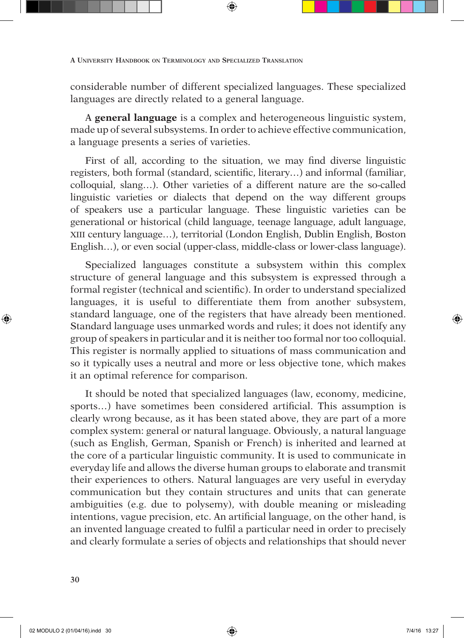considerable number of different specialized languages. These specialized languages are directly related to a general language.

A **general language** is a complex and heterogeneous linguistic system, made up of several subsystems. In order to achieve effective communication, a language presents a series of varieties.

First of all, according to the situation, we may find diverse linguistic registers, both formal (standard, scientific, literary…) and informal (familiar, colloquial, slang…). Other varieties of a different nature are the so-called linguistic varieties or dialects that depend on the way different groups of speakers use a particular language. These linguistic varieties can be generational or historical (child language, teenage language, adult language, XIII century language…), territorial (London English, Dublin English, Boston English…), or even social (upper-class, middle-class or lower-class language).

Specialized languages constitute a subsystem within this complex structure of general language and this subsystem is expressed through a formal register (technical and scientific). In order to understand specialized languages, it is useful to differentiate them from another subsystem, standard language, one of the registers that have already been mentioned. Standard language uses unmarked words and rules; it does not identify any group of speakers in particular and it is neither too formal nor too colloquial. This register is normally applied to situations of mass communication and so it typically uses a neutral and more or less objective tone, which makes it an optimal reference for comparison.

It should be noted that specialized languages (law, economy, medicine, sports…) have sometimes been considered artificial. This assumption is clearly wrong because, as it has been stated above, they are part of a more complex system: general or natural language. Obviously, a natural language (such as English, German, Spanish or French) is inherited and learned at the core of a particular linguistic community. It is used to communicate in everyday life and allows the diverse human groups to elaborate and transmit their experiences to others. Natural languages are very useful in everyday communication but they contain structures and units that can generate ambiguities (e.g. due to polysemy), with double meaning or misleading intentions, vague precision, etc. An artificial language, on the other hand, is an invented language created to fulfil a particular need in order to precisely and clearly formulate a series of objects and relationships that should never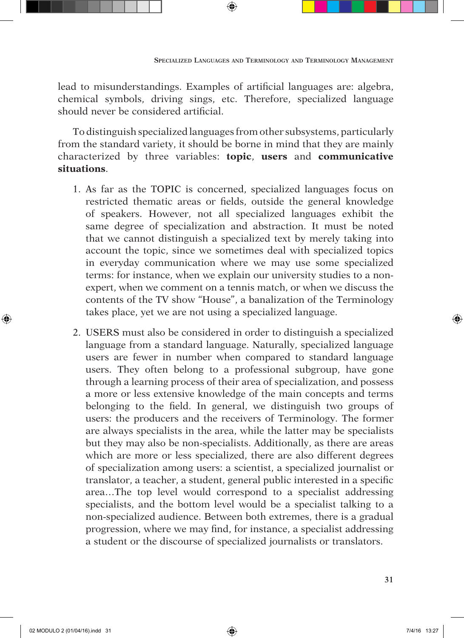lead to misunderstandings. Examples of artificial languages are: algebra, chemical symbols, driving sings, etc. Therefore, specialized language should never be considered artificial.

To distinguish specialized languages from other subsystems, particularly from the standard variety, it should be borne in mind that they are mainly characterized by three variables: **topic**, **users** and **communicative situations**.

- 1. As far as the TOPIC is concerned, specialized languages focus on restricted thematic areas or fields, outside the general knowledge of speakers. However, not all specialized languages exhibit the same degree of specialization and abstraction. It must be noted that we cannot distinguish a specialized text by merely taking into account the topic, since we sometimes deal with specialized topics in everyday communication where we may use some specialized terms: for instance, when we explain our university studies to a nonexpert, when we comment on a tennis match, or when we discuss the contents of the TV show "House", a banalization of the Terminology takes place, yet we are not using a specialized language.
- 2. USERS must also be considered in order to distinguish a specialized language from a standard language. Naturally, specialized language users are fewer in number when compared to standard language users. They often belong to a professional subgroup, have gone through a learning process of their area of specialization, and possess a more or less extensive knowledge of the main concepts and terms belonging to the field. In general, we distinguish two groups of users: the producers and the receivers of Terminology. The former are always specialists in the area, while the latter may be specialists but they may also be non-specialists. Additionally, as there are areas which are more or less specialized, there are also different degrees of specialization among users: a scientist, a specialized journalist or translator, a teacher, a student, general public interested in a specific area…The top level would correspond to a specialist addressing specialists, and the bottom level would be a specialist talking to a non-specialized audience. Between both extremes, there is a gradual progression, where we may find, for instance, a specialist addressing a student or the discourse of specialized journalists or translators.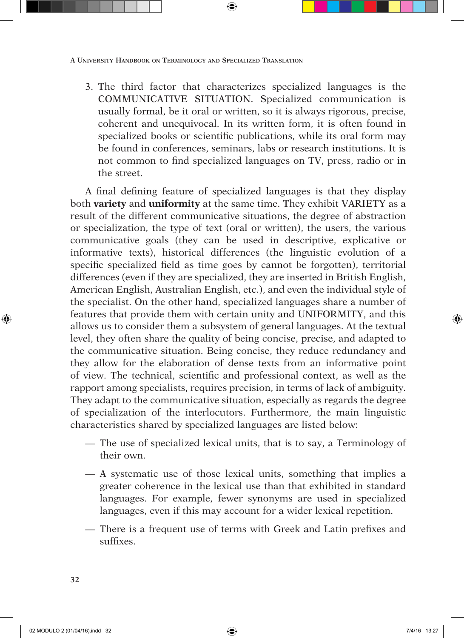3. The third factor that characterizes specialized languages is the COMMUNICATIVE SITUATION. Specialized communication is usually formal, be it oral or written, so it is always rigorous, precise, coherent and unequivocal. In its written form, it is often found in specialized books or scientific publications, while its oral form may be found in conferences, seminars, labs or research institutions. It is not common to find specialized languages on TV, press, radio or in the street.

A final defining feature of specialized languages is that they display both **variety** and **uniformity** at the same time. They exhibit VARIETY as a result of the different communicative situations, the degree of abstraction or specialization, the type of text (oral or written), the users, the various communicative goals (they can be used in descriptive, explicative or informative texts), historical differences (the linguistic evolution of a specific specialized field as time goes by cannot be forgotten), territorial differences (even if they are specialized, they are inserted in British English, American English, Australian English, etc.), and even the individual style of the specialist. On the other hand, specialized languages share a number of features that provide them with certain unity and UNIFORMITY, and this allows us to consider them a subsystem of general languages. At the textual level, they often share the quality of being concise, precise, and adapted to the communicative situation. Being concise, they reduce redundancy and they allow for the elaboration of dense texts from an informative point of view. The technical, scientific and professional context, as well as the rapport among specialists, requires precision, in terms of lack of ambiguity. They adapt to the communicative situation, especially as regards the degree of specialization of the interlocutors. Furthermore, the main linguistic characteristics shared by specialized languages are listed below:

- The use of specialized lexical units, that is to say, a Terminology of their own.
- A systematic use of those lexical units, something that implies a greater coherence in the lexical use than that exhibited in standard languages. For example, fewer synonyms are used in specialized languages, even if this may account for a wider lexical repetition.
- There is a frequent use of terms with Greek and Latin prefixes and suffixes.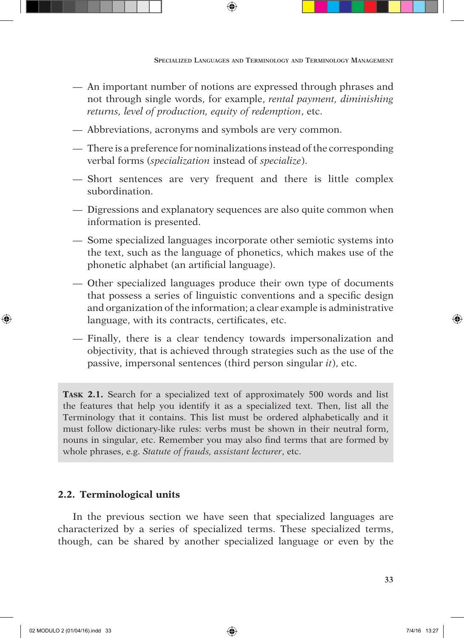- An important number of notions are expressed through phrases and not through single words, for example, *rental payment, diminishing returns, level of production, equity of redemption*, etc.
- Abbreviations, acronyms and symbols are very common.
- There is a preference for nominalizations instead of the corresponding verbal forms (*specialization* instead of *specialize*).
- Short sentences are very frequent and there is little complex subordination.
- Digressions and explanatory sequences are also quite common when information is presented.
- Some specialized languages incorporate other semiotic systems into the text, such as the language of phonetics, which makes use of the phonetic alphabet (an artificial language).
- Other specialized languages produce their own type of documents that possess a series of linguistic conventions and a specific design and organization of the information; a clear example is administrative language, with its contracts, certificates, etc.
- Finally, there is a clear tendency towards impersonalization and objectivity, that is achieved through strategies such as the use of the passive, impersonal sentences (third person singular *it*), etc.

**Task 2.1.** Search for a specialized text of approximately 500 words and list the features that help you identify it as a specialized text. Then, list all the Terminology that it contains. This list must be ordered alphabetically and it must follow dictionary-like rules: verbs must be shown in their neutral form, nouns in singular, etc. Remember you may also find terms that are formed by whole phrases, e.g. *Statute of frauds, assistant lecturer*, etc.

### **2.2. Terminological units**

In the previous section we have seen that specialized languages are characterized by a series of specialized terms. These specialized terms, though, can be shared by another specialized language or even by the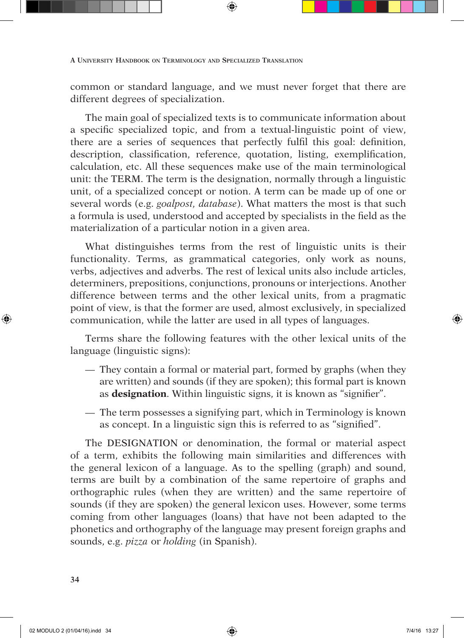common or standard language, and we must never forget that there are different degrees of specialization.

The main goal of specialized texts is to communicate information about a specific specialized topic, and from a textual-linguistic point of view, there are a series of sequences that perfectly fulfil this goal: definition, description, classification, reference, quotation, listing, exemplification, calculation, etc. All these sequences make use of the main terminological unit: the TERM. The term is the designation, normally through a linguistic unit, of a specialized concept or notion. A term can be made up of one or several words (e.g. *goalpost, database*). What matters the most is that such a formula is used, understood and accepted by specialists in the field as the materialization of a particular notion in a given area.

What distinguishes terms from the rest of linguistic units is their functionality. Terms, as grammatical categories, only work as nouns, verbs, adjectives and adverbs. The rest of lexical units also include articles, determiners, prepositions, conjunctions, pronouns or interjections. Another difference between terms and the other lexical units, from a pragmatic point of view, is that the former are used, almost exclusively, in specialized communication, while the latter are used in all types of languages.

Terms share the following features with the other lexical units of the language (linguistic signs):

- They contain a formal or material part, formed by graphs (when they are written) and sounds (if they are spoken); this formal part is known as **designation**. Within linguistic signs, it is known as "signifier".
- The term possesses a signifying part, which in Terminology is known as concept. In a linguistic sign this is referred to as "signified".

The DESIGNATION or denomination, the formal or material aspect of a term, exhibits the following main similarities and differences with the general lexicon of a language. As to the spelling (graph) and sound, terms are built by a combination of the same repertoire of graphs and orthographic rules (when they are written) and the same repertoire of sounds (if they are spoken) the general lexicon uses. However, some terms coming from other languages (loans) that have not been adapted to the phonetics and orthography of the language may present foreign graphs and sounds, e.g. *pizza* or *holding* (in Spanish).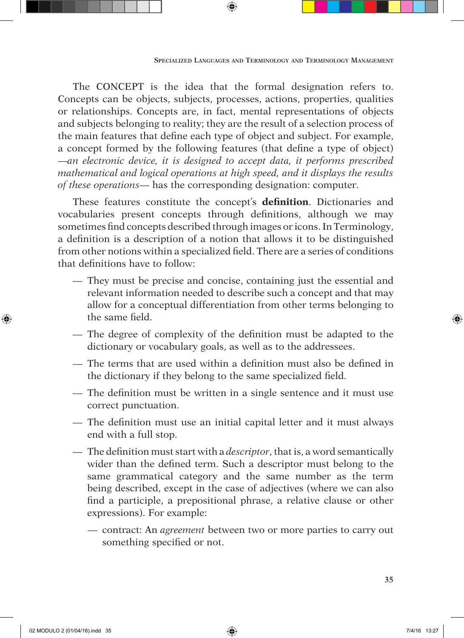The CONCEPT is the idea that the formal designation refers to. Concepts can be objects, subjects, processes, actions, properties, qualities or relationships. Concepts are, in fact, mental representations of objects and subjects belonging to reality; they are the result of a selection process of the main features that define each type of object and subject. For example, a concept formed by the following features (that define a type of object) —*an electronic device, it is designed to accept data, it performs prescribed mathematical and logical operations at high speed, and it displays the results of these operations*— has the corresponding designation: computer.

These features constitute the concept's **definition**. Dictionaries and vocabularies present concepts through definitions, although we may sometimes find concepts described through images or icons. In Terminology, a definition is a description of a notion that allows it to be distinguished from other notions within a specialized field. There are a series of conditions that definitions have to follow:

- They must be precise and concise, containing just the essential and relevant information needed to describe such a concept and that may allow for a conceptual differentiation from other terms belonging to the same field.
- The degree of complexity of the definition must be adapted to the dictionary or vocabulary goals, as well as to the addressees.
- The terms that are used within a definition must also be defined in the dictionary if they belong to the same specialized field.
- The definition must be written in a single sentence and it must use correct punctuation.
- The definition must use an initial capital letter and it must always end with a full stop.
- The definition must start with a *descriptor*, that is, a word semantically wider than the defined term. Such a descriptor must belong to the same grammatical category and the same number as the term being described, except in the case of adjectives (where we can also find a participle, a prepositional phrase, a relative clause or other expressions). For example:
	- contract: An *agreement* between two or more parties to carry out something specified or not.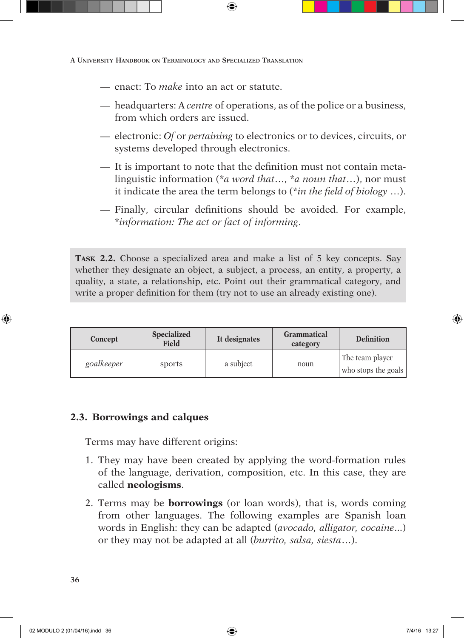- enact: To *make* into an act or statute.
- headquarters: A *centre* of operations, as of the police or a business, from which orders are issued.
- electronic: *Of* or *pertaining* to electronics or to devices, circuits, or systems developed through electronics.
- It is important to note that the definition must not contain metalinguistic information (\**a word that*…, \**a noun that*…), nor must it indicate the area the term belongs to (\**in the field of biology* …).
- Finally, circular definitions should be avoided. For example, \**information: The act or fact of informing*.

**Task 2.2.** Choose a specialized area and make a list of 5 key concepts. Say whether they designate an object, a subject, a process, an entity, a property, a quality, a state, a relationship, etc. Point out their grammatical category, and write a proper definition for them (try not to use an already existing one).

| Concept    | <b>Specialized</b><br><b>Field</b> | It designates | <b>Grammatical</b><br>category | <b>Definition</b>                              |
|------------|------------------------------------|---------------|--------------------------------|------------------------------------------------|
| goalkeeper | sports                             | a subject     | noun                           | The team player<br>who stops the goals $\vert$ |

#### **2.3. Borrowings and calques**

Terms may have different origins:

- 1. They may have been created by applying the word-formation rules of the language, derivation, composition, etc. In this case, they are called **neologisms**.
- 2. Terms may be **borrowings** (or loan words), that is, words coming from other languages. The following examples are Spanish loan words in English: they can be adapted (*avocado, alligator, cocaine*...) or they may not be adapted at all (*burrito, salsa, siesta*…).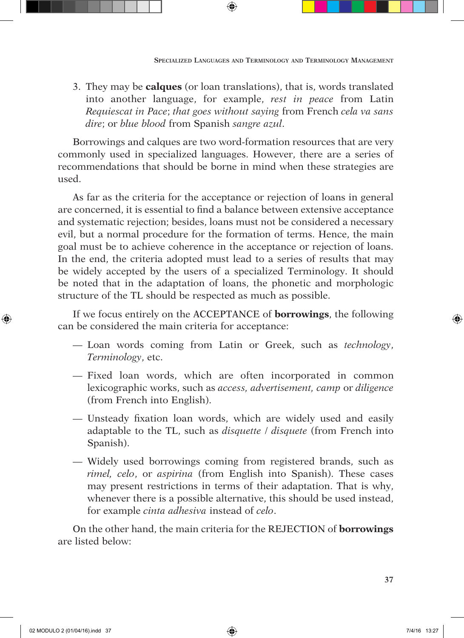3. They may be **calques** (or loan translations), that is, words translated into another language, for example, *rest in peace* from Latin *Requiescat in Pace*; *that goes without saying* from French *cela va sans dire*; or *blue blood* from Spanish *sangre azul*.

Borrowings and calques are two word-formation resources that are very commonly used in specialized languages. However, there are a series of recommendations that should be borne in mind when these strategies are used.

As far as the criteria for the acceptance or rejection of loans in general are concerned, it is essential to find a balance between extensive acceptance and systematic rejection; besides, loans must not be considered a necessary evil, but a normal procedure for the formation of terms. Hence, the main goal must be to achieve coherence in the acceptance or rejection of loans. In the end, the criteria adopted must lead to a series of results that may be widely accepted by the users of a specialized Terminology. It should be noted that in the adaptation of loans, the phonetic and morphologic structure of the TL should be respected as much as possible.

If we focus entirely on the ACCEPTANCE of **borrowings**, the following can be considered the main criteria for acceptance:

- Loan words coming from Latin or Greek, such as *technology*, *Terminology*, etc.
- Fixed loan words, which are often incorporated in common lexicographic works, such as *access, advertisement, camp* or *diligence* (from French into English).
- Unsteady fixation loan words, which are widely used and easily adaptable to the TL, such as *disquette* / *disquete* (from French into Spanish).
- Widely used borrowings coming from registered brands, such as *rimel, celo*, or *aspirina* (from English into Spanish). These cases may present restrictions in terms of their adaptation. That is why, whenever there is a possible alternative, this should be used instead, for example *cinta adhesiva* instead of *celo*.

On the other hand, the main criteria for the REJECTION of **borrowings** are listed below: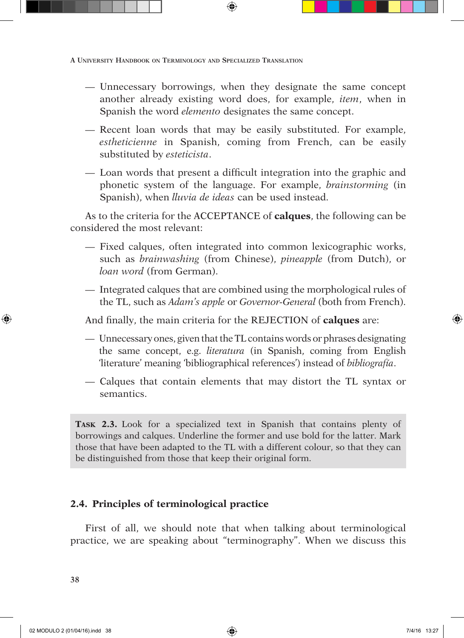- Unnecessary borrowings, when they designate the same concept another already existing word does, for example, *item*, when in Spanish the word *elemento* designates the same concept.
- Recent loan words that may be easily substituted. For example, *estheticienne* in Spanish, coming from French, can be easily substituted by *esteticista*.
- Loan words that present a difficult integration into the graphic and phonetic system of the language. For example, *brainstorming* (in Spanish), when *lluvia de ideas* can be used instead.

As to the criteria for the ACCEPTANCE of **calques**, the following can be considered the most relevant:

- Fixed calques, often integrated into common lexicographic works, such as *brainwashing* (from Chinese), *pineapple* (from Dutch), or *loan word* (from German).
- Integrated calques that are combined using the morphological rules of the TL, such as *Adam's apple* or *Governor-General* (both from French).

And finally, the main criteria for the REJECTION of **calques** are:

- Unnecessary ones, given that the TL contains words or phrases designating the same concept, e.g. *literatura* (in Spanish, coming from English 'literature' meaning 'bibliographical references') instead of *bibliografía*.
- Calques that contain elements that may distort the TL syntax or semantics.

**Task 2.3.** Look for a specialized text in Spanish that contains plenty of borrowings and calques. Underline the former and use bold for the latter. Mark those that have been adapted to the TL with a different colour, so that they can be distinguished from those that keep their original form.

### **2.4. Principles of terminological practice**

First of all, we should note that when talking about terminological practice, we are speaking about "terminography". When we discuss this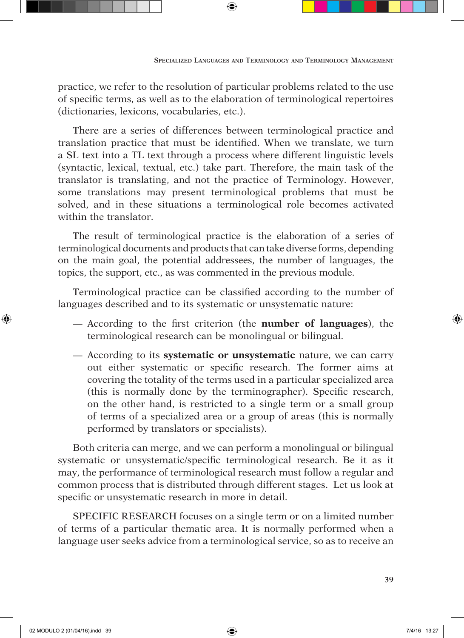practice, we refer to the resolution of particular problems related to the use of specific terms, as well as to the elaboration of terminological repertoires (dictionaries, lexicons, vocabularies, etc.).

There are a series of differences between terminological practice and translation practice that must be identified. When we translate, we turn a SL text into a TL text through a process where different linguistic levels (syntactic, lexical, textual, etc.) take part. Therefore, the main task of the translator is translating, and not the practice of Terminology. However, some translations may present terminological problems that must be solved, and in these situations a terminological role becomes activated within the translator.

The result of terminological practice is the elaboration of a series of terminological documents and products that can take diverse forms, depending on the main goal, the potential addressees, the number of languages, the topics, the support, etc., as was commented in the previous module.

Terminological practice can be classified according to the number of languages described and to its systematic or unsystematic nature:

- According to the first criterion (the **number of languages**), the terminological research can be monolingual or bilingual.
- According to its **systematic or unsystematic** nature, we can carry out either systematic or specific research. The former aims at covering the totality of the terms used in a particular specialized area (this is normally done by the terminographer). Specific research, on the other hand, is restricted to a single term or a small group of terms of a specialized area or a group of areas (this is normally performed by translators or specialists).

Both criteria can merge, and we can perform a monolingual or bilingual systematic or unsystematic/specific terminological research. Be it as it may, the performance of terminological research must follow a regular and common process that is distributed through different stages. Let us look at specific or unsystematic research in more in detail.

SPECIFIC RESEARCH focuses on a single term or on a limited number of terms of a particular thematic area. It is normally performed when a language user seeks advice from a terminological service, so as to receive an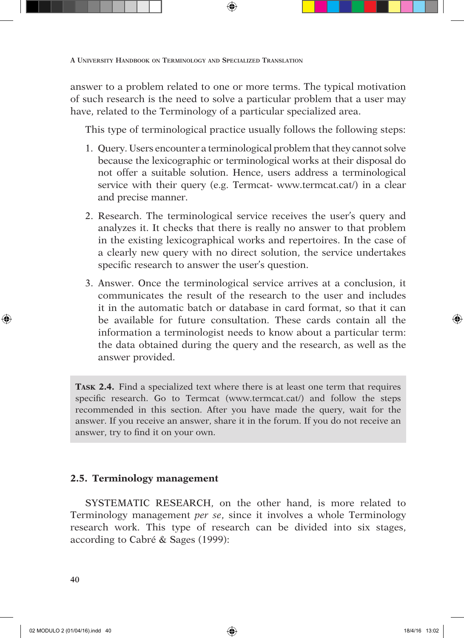answer to a problem related to one or more terms. The typical motivation of such research is the need to solve a particular problem that a user may have, related to the Terminology of a particular specialized area.

This type of terminological practice usually follows the following steps:

- 1. Query. Users encounter a terminological problem that they cannot solve because the lexicographic or terminological works at their disposal do not offer a suitable solution. Hence, users address a terminological service with their query (e.g. Termcat- www.termcat.cat/) in a clear and precise manner.
- 2. Research. The terminological service receives the user's query and analyzes it. It checks that there is really no answer to that problem in the existing lexicographical works and repertoires. In the case of a clearly new query with no direct solution, the service undertakes specific research to answer the user's question.
- 3. Answer. Once the terminological service arrives at a conclusion, it communicates the result of the research to the user and includes it in the automatic batch or database in card format, so that it can be available for future consultation. These cards contain all the information a terminologist needs to know about a particular term: the data obtained during the query and the research, as well as the answer provided.

**Task 2.4.** Find a specialized text where there is at least one term that requires specific research. Go to Termcat (www.termcat.cat/) and follow the steps recommended in this section. After you have made the query, wait for the answer. If you receive an answer, share it in the forum. If you do not receive an answer, try to find it on your own.

### **2.5. Terminology management**

SYSTEMATIC RESEARCH, on the other hand, is more related to Terminology management *per se*, since it involves a whole Terminology research work. This type of research can be divided into six stages, according to Cabré & Sages (1999):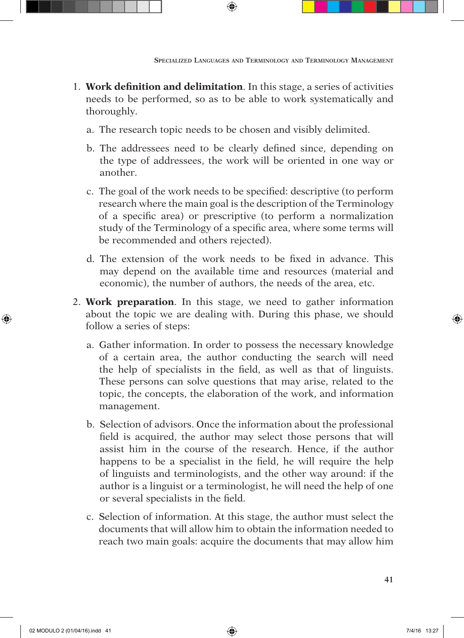- 1. **Work definition and delimitation**. In this stage, a series of activities needs to be performed, so as to be able to work systematically and thoroughly.
	- a. The research topic needs to be chosen and visibly delimited.
	- b. The addressees need to be clearly defined since, depending on the type of addressees, the work will be oriented in one way or another.
	- c. The goal of the work needs to be specified: descriptive (to perform research where the main goal is the description of the Terminology of a specific area) or prescriptive (to perform a normalization study of the Terminology of a specific area, where some terms will be recommended and others rejected).
	- d. The extension of the work needs to be fixed in advance. This may depend on the available time and resources (material and economic), the number of authors, the needs of the area, etc.
- 2. **Work preparation**. In this stage, we need to gather information about the topic we are dealing with. During this phase, we should follow a series of steps:
	- a. Gather information. In order to possess the necessary knowledge of a certain area, the author conducting the search will need the help of specialists in the field, as well as that of linguists. These persons can solve questions that may arise, related to the topic, the concepts, the elaboration of the work, and information management.
	- b. Selection of advisors. Once the information about the professional field is acquired, the author may select those persons that will assist him in the course of the research. Hence, if the author happens to be a specialist in the field, he will require the help of linguists and terminologists, and the other way around: if the author is a linguist or a terminologist, he will need the help of one or several specialists in the field.
	- c. Selection of information. At this stage, the author must select the documents that will allow him to obtain the information needed to reach two main goals: acquire the documents that may allow him